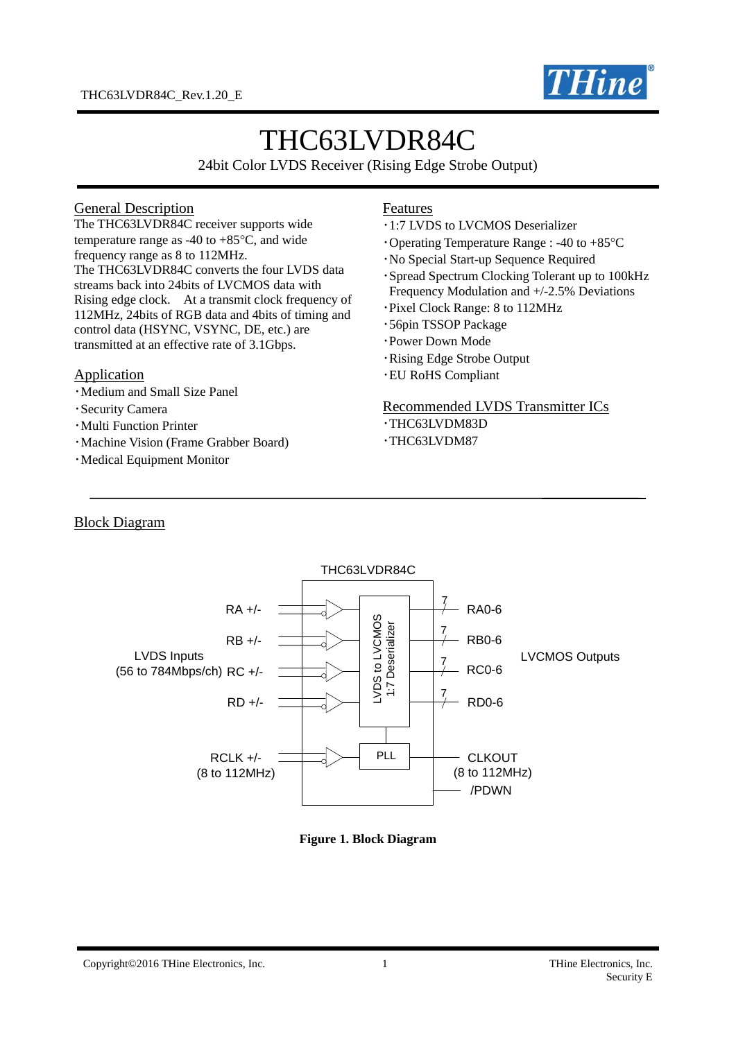

# THC63LVDR84C

24bit Color LVDS Receiver (Rising Edge Strobe Output)

#### General Description

The THC63LVDR84C receiver supports wide temperature range as -40 to  $+85^{\circ}$ C, and wide frequency range as 8 to 112MHz. The THC63LVDR84C converts the four LVDS data streams back into 24bits of LVCMOS data with Rising edge clock. At a transmit clock frequency of 112MHz, 24bits of RGB data and 4bits of timing and control data (HSYNC, VSYNC, DE, etc.) are transmitted at an effective rate of 3.1Gbps.

#### Application

- ・Medium and Small Size Panel
- ・Security Camera
- ・Multi Function Printer
- ・Machine Vision (Frame Grabber Board)
- ・Medical Equipment Monitor

#### Features

- ・1:7 LVDS to LVCMOS Deserializer
- $\cdot$ Operating Temperature Range : -40 to +85 $\degree$ C
- ・No Special Start-up Sequence Required
- ・Spread Spectrum Clocking Tolerant up to 100kHz Frequency Modulation and +/-2.5% Deviations
- ・Pixel Clock Range: 8 to 112MHz
- ・56pin TSSOP Package
- ・Power Down Mode
- ・Rising Edge Strobe Output
- ・EU RoHS Compliant

#### Recommended LVDS Transmitter ICs

- ・THC63LVDM83D
- ・THC63LVDM87

#### Block Diagram



#### **Figure 1. Block Diagram**

#### Copyright©2016 THine Electronics, Inc. 1 1 THine Electronics, Inc. 1 THine Electronics, Inc.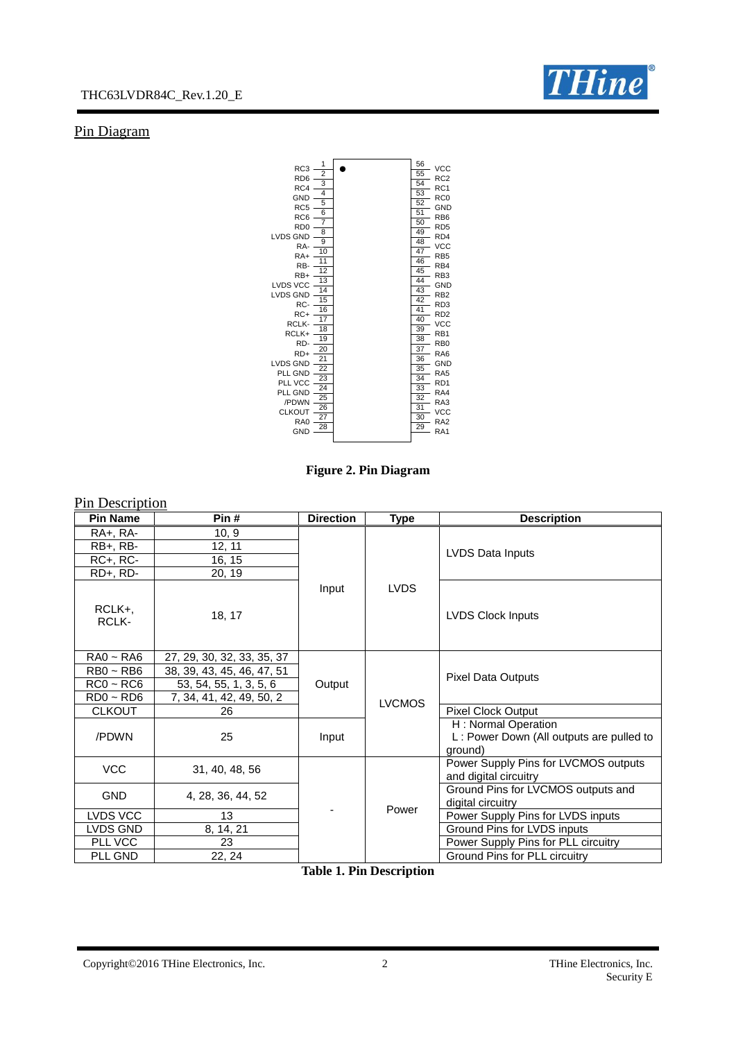

# Pin Diagram



**Figure 2. Pin Diagram**

| Pin Description                                                |                                                                                                                |                             |               |                                                                            |  |
|----------------------------------------------------------------|----------------------------------------------------------------------------------------------------------------|-----------------------------|---------------|----------------------------------------------------------------------------|--|
| <b>Pin Name</b>                                                | Pin#                                                                                                           | <b>Direction</b>            | <b>Type</b>   | <b>Description</b>                                                         |  |
| RA+, RA-                                                       | 10, 9                                                                                                          |                             |               |                                                                            |  |
| $RB+, RB-$                                                     | 12, 11                                                                                                         |                             |               | LVDS Data Inputs                                                           |  |
| $RC+$ , $RC-$                                                  | 16, 15                                                                                                         |                             |               |                                                                            |  |
| RD+, RD-                                                       | 20, 19                                                                                                         |                             |               |                                                                            |  |
| RCLK+,<br>RCLK-                                                | 18, 17                                                                                                         | Input                       | <b>LVDS</b>   | <b>LVDS Clock Inputs</b>                                                   |  |
| $RA0 - RA6$<br>$RBO \sim RBG$<br>$RC0 - RC6$<br>$RDO \sim RDS$ | 27, 29, 30, 32, 33, 35, 37<br>38, 39, 43, 45, 46, 47, 51<br>53, 54, 55, 1, 3, 5, 6<br>7, 34, 41, 42, 49, 50, 2 | Output                      | <b>LVCMOS</b> | <b>Pixel Data Outputs</b>                                                  |  |
| <b>CLKOUT</b>                                                  | 26                                                                                                             |                             |               | <b>Pixel Clock Output</b>                                                  |  |
| /PDWN                                                          | 25                                                                                                             | Input                       |               | H: Normal Operation<br>L: Power Down (All outputs are pulled to<br>ground) |  |
| <b>VCC</b>                                                     | 31, 40, 48, 56                                                                                                 |                             |               | Power Supply Pins for LVCMOS outputs<br>and digital circuitry              |  |
| <b>GND</b>                                                     | 4, 28, 36, 44, 52                                                                                              |                             | Power         | Ground Pins for LVCMOS outputs and<br>digital circuitry                    |  |
| LVDS VCC                                                       | 13                                                                                                             |                             |               | Power Supply Pins for LVDS inputs                                          |  |
| LVDS GND                                                       | 8, 14, 21                                                                                                      |                             |               | Ground Pins for LVDS inputs                                                |  |
| PLL VCC                                                        | 23                                                                                                             |                             |               | Power Supply Pins for PLL circuitry                                        |  |
| PLL GND                                                        | 22, 24                                                                                                         | <b><i>musical</i></b> means | $\cdot$       | Ground Pins for PLL circuitry                                              |  |

**Table 1. Pin Description**

Copyright©2016 THine Electronics, Inc. 2 THine Electronics, Inc.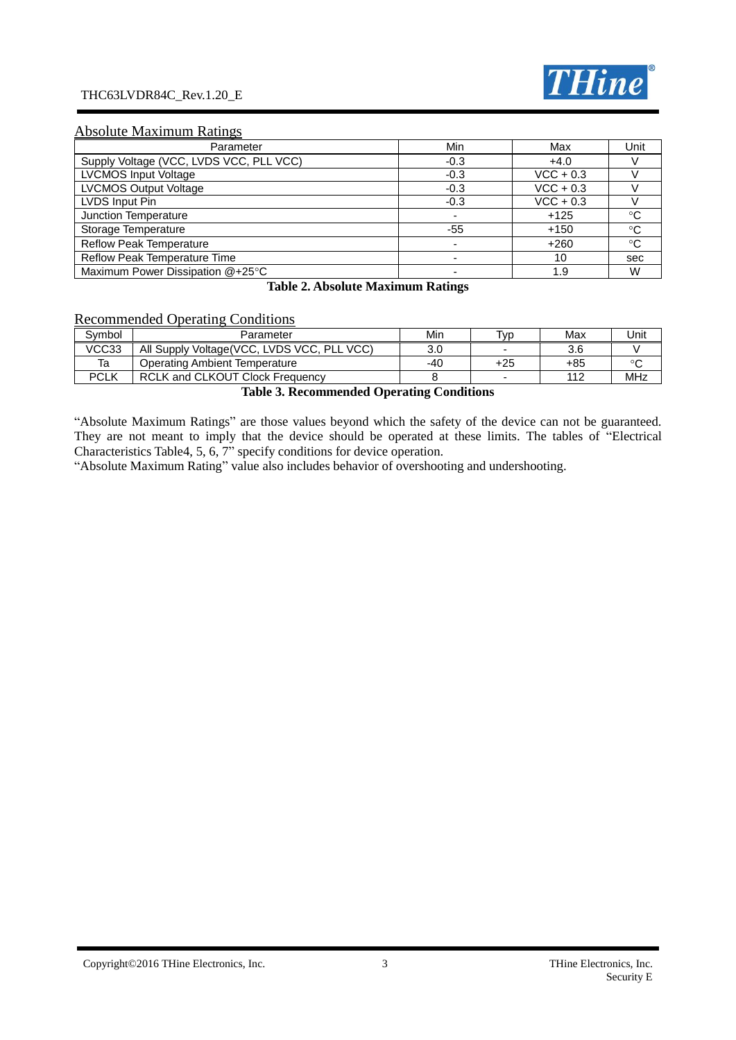#### THC63LVDR84C\_Rev.1.20\_E



#### Absolute Maximum Ratings

| Parameter                               | Min    | Max         | Unit         |
|-----------------------------------------|--------|-------------|--------------|
| Supply Voltage (VCC, LVDS VCC, PLL VCC) | $-0.3$ | $+4.0$      |              |
| <b>LVCMOS Input Voltage</b>             | $-0.3$ | $VCC + 0.3$ |              |
| <b>LVCMOS Output Voltage</b>            | $-0.3$ | $VCC + 0.3$ |              |
| LVDS Input Pin                          | $-0.3$ | $VCC + 0.3$ |              |
| Junction Temperature                    |        | $+125$      | °C           |
| Storage Temperature                     | -55    | $+150$      | $^{\circ}C$  |
| <b>Reflow Peak Temperature</b>          |        | $+260$      | $^{\circ}$ C |
| Reflow Peak Temperature Time            |        | 10          | sec          |
| Maximum Power Dissipation @+25°C        |        | 1.9         | W            |

#### **Table 2. Absolute Maximum Ratings**

# Recommended Operating Conditions

| Svmbol | Parameter                                   | Min                             | Tvp | Max | Jnit |
|--------|---------------------------------------------|---------------------------------|-----|-----|------|
| VCC33  | All Supply Voltage (VCC, LVDS VCC, PLL VCC) | 3.0                             | -   | 3.6 |      |
| Ta     | Operating Ambient Temperature               | -40                             | +25 | +85 |      |
| PCLK   | <b>RCLK and CLKOUT Clock Frequency</b>      |                                 | -   | 112 | MHz  |
|        | $\cdots$<br><b>m</b> 11 <b>A m</b>          | $\cdots$<br>$\sim$<br>$\cdot$ . |     |     |      |

#### **Table 3. Recommended Operating Conditions**

"Absolute Maximum Ratings" are those values beyond which the safety of the device can not be guaranteed. They are not meant to imply that the device should be operated at these limits. The tables of "Electrical Characteristics Table4, 5, 6, 7" specify conditions for device operation.

"Absolute Maximum Rating" value also includes behavior of overshooting and undershooting.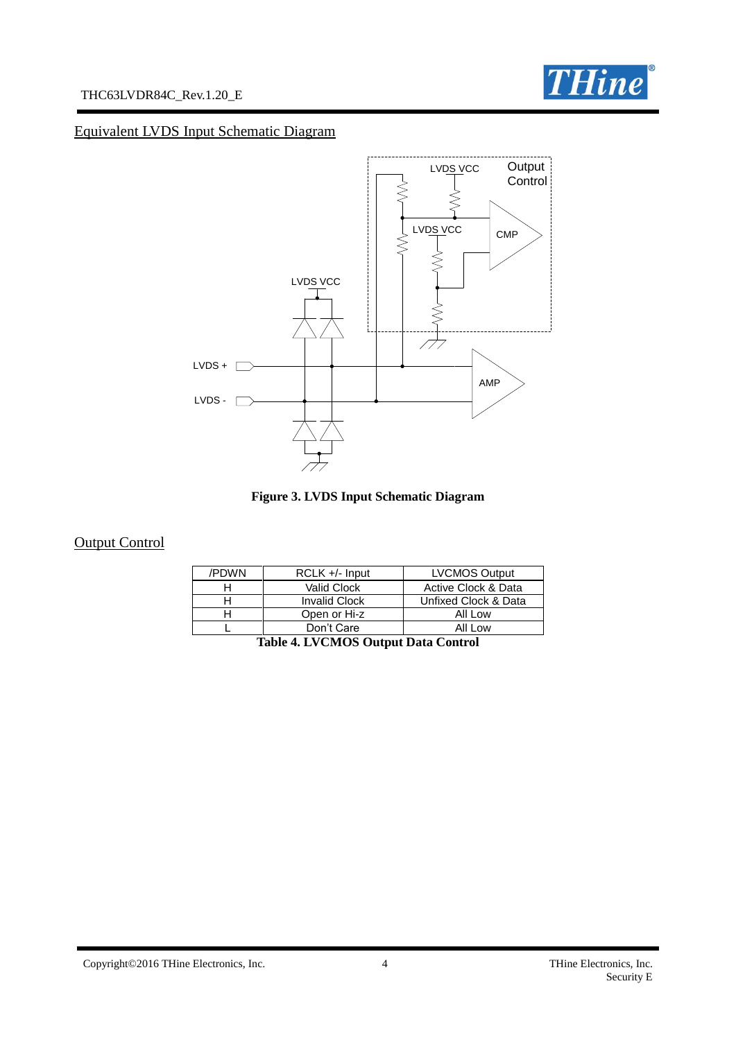



# Equivalent LVDS Input Schematic Diagram





# **Output Control**

| /PDWN | $RCLK +/-$ Input     | <b>LVCMOS Output</b> |
|-------|----------------------|----------------------|
|       | Valid Clock          | Active Clock & Data  |
|       | <b>Invalid Clock</b> | Unfixed Clock & Data |
|       | Open or Hi-z         | All Low              |
|       | Don't Care           | All Low              |

|  |  | Table 4. LVCMOS Output Data Control |  |
|--|--|-------------------------------------|--|
|--|--|-------------------------------------|--|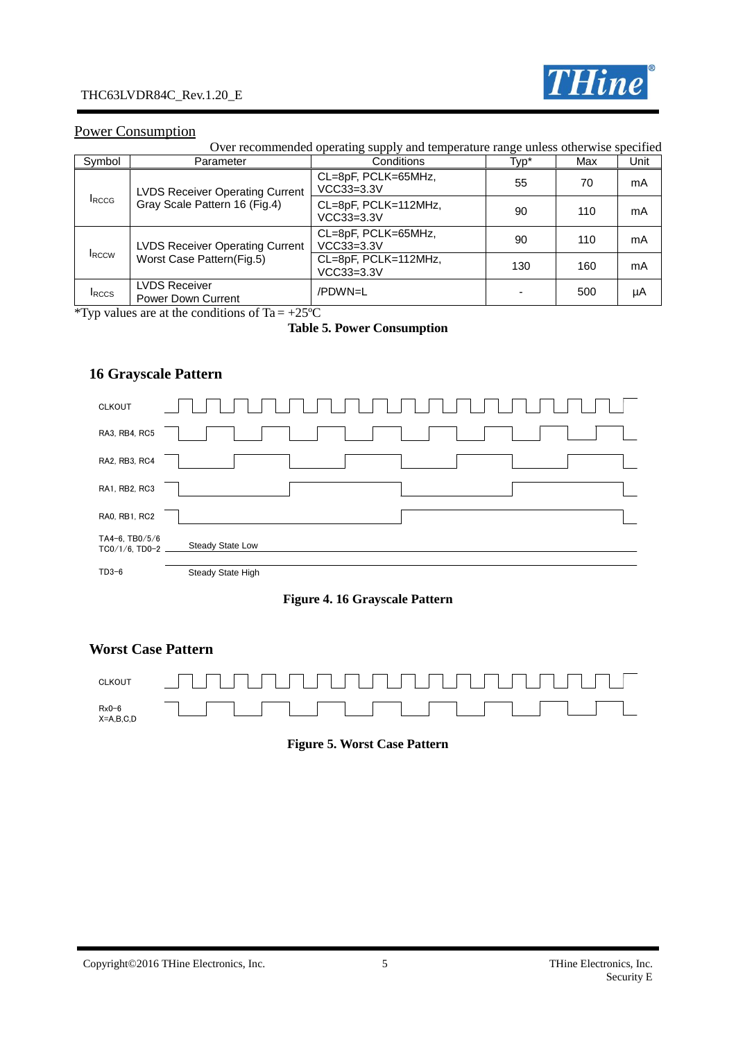

#### Power Consumption

Over recommended operating supply and temperature range unless otherwise specified

| Symbol        | Parameter                                         | Conditions                                                                                                                   | Typ* | Max | Unit |
|---------------|---------------------------------------------------|------------------------------------------------------------------------------------------------------------------------------|------|-----|------|
|               | <b>LVDS Receiver Operating Current</b>            | CL=8pF, PCLK=65MHz,<br>VCC33=3.3V                                                                                            | 55   | 70  | mA   |
| <b>I</b> RCCG | Gray Scale Pattern 16 (Fig.4)                     | CL=8pF, PCLK=112MHz,<br>$VCC33=3.3V$<br>CL=8pF, PCLK=65MHz,<br>$VCC33=3.3V$<br>CL=8pF, PCLK=112MHz,<br>VCC33=3.3V<br>/PDWN=L | 90   | 110 | mA   |
|               | <b>LVDS Receiver Operating Current</b>            |                                                                                                                              | 90   | 110 | mA   |
| <b>IRCCW</b>  | Worst Case Pattern(Fig.5)                         |                                                                                                                              | 130  | 160 | mA   |
| <b>IRCCS</b>  | <b>LVDS Receiver</b><br><b>Power Down Current</b> |                                                                                                                              |      | 500 | μA   |

\*Typ values are at the conditions of Ta =  $+25^{\circ}$ C

#### **Table 5. Power Consumption**

# **16 Grayscale Pattern**



#### **Figure 4. 16 Grayscale Pattern**

#### **Worst Case Pattern**



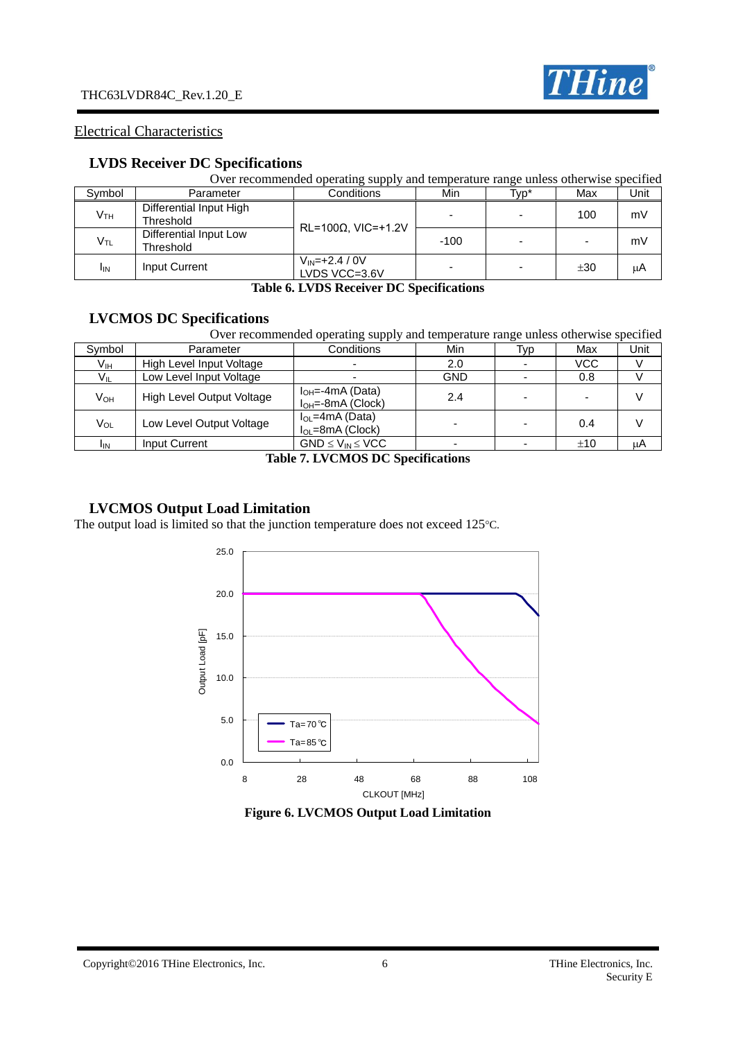

#### Electrical Characteristics

## **LVDS Receiver DC Specifications**

|                 | Over recommended operating supply and temperature range unless otherwise specified |                                       |        |      |     |      |  |  |
|-----------------|------------------------------------------------------------------------------------|---------------------------------------|--------|------|-----|------|--|--|
| Symbol          | Parameter                                                                          | Conditions                            | Min    | Typ* | Max | Unit |  |  |
| V <sub>TH</sub> | Differential Input High<br>Threshold                                               | $RL=100\Omega$ , VIC=+1.2V            |        |      | 100 | mV   |  |  |
| V <sub>TL</sub> | Differential Input Low<br>Threshold                                                |                                       | $-100$ |      |     | mV   |  |  |
| <b>I</b> IN     | Input Current                                                                      | $V_{IN} = +2.4 / 0V$<br>LVDS VCC=3.6V |        |      | ±30 | μA   |  |  |

#### **Table 6. LVDS Receiver DC Specifications**

# **LVCMOS DC Specifications**

|                 | Over recommended operating supply and temperature range unless otherwise specified |                                                   |            |      |     |      |  |  |
|-----------------|------------------------------------------------------------------------------------|---------------------------------------------------|------------|------|-----|------|--|--|
| Symbol          | Parameter                                                                          | Conditions                                        | Min        | Typ. | Max | Unit |  |  |
| Vıн             | High Level Input Voltage                                                           |                                                   | 2.0        |      | VCC |      |  |  |
| V <sub>IL</sub> | Low Level Input Voltage                                                            |                                                   | <b>GND</b> |      | 0.8 |      |  |  |
| $V_{OH}$        | High Level Output Voltage                                                          | $I_{OH} = -4mA (Data)$<br>$I_{OH} = -8mA$ (Clock) | 2.4        |      |     |      |  |  |
| Vol             | Low Level Output Voltage                                                           | $I_{OL}$ =4mA (Data)<br>$I_{OL}$ =8mA (Clock)     |            |      | 0.4 |      |  |  |
| <b>I</b> IN     | Input Current                                                                      | $GND \leq V_{IN} \leq VCC$                        |            |      | ±10 | uΑ   |  |  |

#### **Table 7. LVCMOS DC Specifications**

#### **LVCMOS Output Load Limitation**

The output load is limited so that the junction temperature does not exceed 125°C.



#### **Figure 6. LVCMOS Output Load Limitation**

#### Copyright©2016 THine Electronics, Inc. 6 THine Electronics, Inc.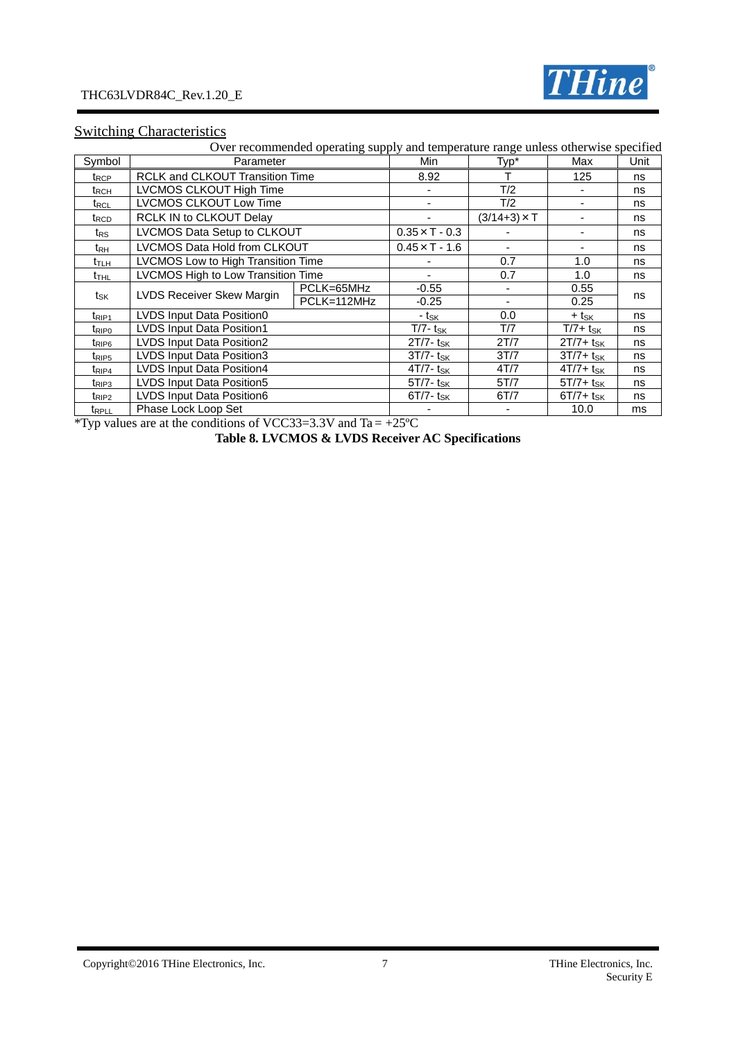

# **Switching Characteristics**

|                          |                                        | Over recommended operating supply and temperature range unless otherwise specified |                          |                     |                          |      |
|--------------------------|----------------------------------------|------------------------------------------------------------------------------------|--------------------------|---------------------|--------------------------|------|
| Symbol                   | Parameter                              |                                                                                    | Min                      | Typ*                | Max                      | Unit |
| $t_{\mathsf{RCP}}$       | <b>RCLK and CLKOUT Transition Time</b> |                                                                                    | 8.92                     |                     | 125                      | ns   |
| $t_{\mathsf{RCH}}$       | LVCMOS CLKOUT High Time                |                                                                                    |                          | T/2                 |                          | ns   |
| $t_{\sf RCL}$            | LVCMOS CLKOUT Low Time                 |                                                                                    |                          | T/2                 | $\overline{\phantom{a}}$ | ns   |
| t <sub>RCD</sub>         | RCLK IN to CLKOUT Delay                |                                                                                    |                          | $(3/14+3) \times T$ |                          | ns   |
| $t_{\mathsf{RS}}$        | LVCMOS Data Setup to CLKOUT            |                                                                                    | $0.35 \times T - 0.3$    |                     |                          | ns   |
| t <sub>RH</sub>          | LVCMOS Data Hold from CLKOUT           |                                                                                    | $0.45 \times T - 1.6$    |                     | ٠                        | ns   |
| $t_{\text{TLH}}$         | LVCMOS Low to High Transition Time     |                                                                                    |                          | 0.7                 | 1.0                      | ns   |
| t <sub>thl</sub>         | LVCMOS High to Low Transition Time     |                                                                                    |                          | 0.7                 | 1.0                      | ns   |
|                          | LVDS Receiver Skew Margin              | PCLK=65MHz                                                                         | $-0.55$                  |                     | 0.55                     |      |
| tsk                      |                                        | PCLK=112MHz                                                                        | $-0.25$                  |                     | 0.25                     | ns   |
| $t_{\mathsf{RIP1}}$      | LVDS Input Data Position0              |                                                                                    | - t <sub>sk</sub>        | 0.0                 | + t <sub>sk</sub>        | ns   |
| $t_{\mathsf{RIP}0}$      | <b>LVDS Input Data Position1</b>       |                                                                                    | $T/7 - t_{SK}$           | T/7                 | $T/7+ t_{SK}$            | ns   |
| t <sub>RIP6</sub>        | LVDS Input Data Position2              |                                                                                    | $2T/7 - t_{SK}$          | 2T/7                | $2T/7+ t_{SK}$           | ns   |
| t <sub>RIP5</sub>        | LVDS Input Data Position3              |                                                                                    | $3T/7 - t_{SK}$          | 3T/7                | $3T/7+ t_{SK}$           | ns   |
| t <sub>RIP4</sub>        | LVDS Input Data Position4              |                                                                                    | $4T/7 - t_{SK}$          | 4T/7                | $4T/7 + t_{SK}$          | ns   |
| $t_{RIP3}$               | LVDS Input Data Position5              |                                                                                    | $5T/7$ - t <sub>SK</sub> | 5T/7                | $5T/7+ t_{SK}$           | ns   |
| t <sub>RIP2</sub>        | LVDS Input Data Position6              |                                                                                    | $6T/7 - t_{SK}$          | 6T/7                | $6T/7+$ tsk              | ns   |
| <b>t</b> <sub>RPLL</sub> | Phase Lock Loop Set                    |                                                                                    |                          |                     | 10.0                     | ms   |

\*Typ values are at the conditions of VCC33=3.3V and Ta =  $+25^{\circ}$ C

**Table 8. LVCMOS & LVDS Receiver AC Specifications**

Copyright©2016 THine Electronics, Inc. 7 7 THine Electronics, Inc.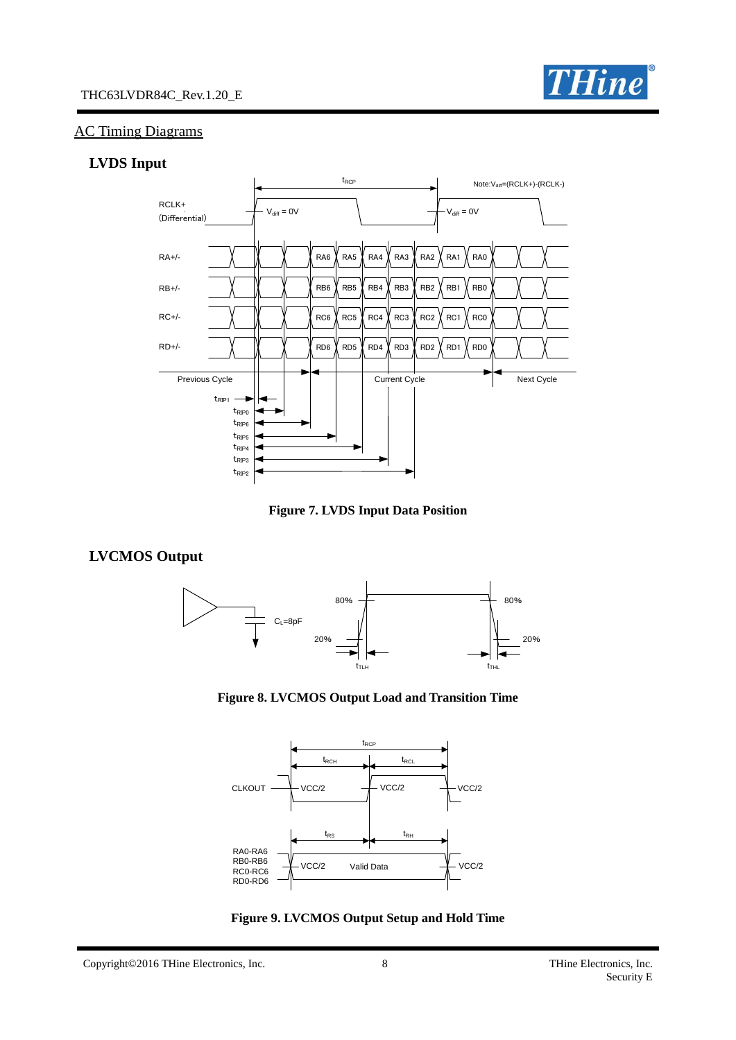

#### AC Timing Diagrams

#### **LVDS Input**



**Figure 7. LVDS Input Data Position**

# **LVCMOS Output**







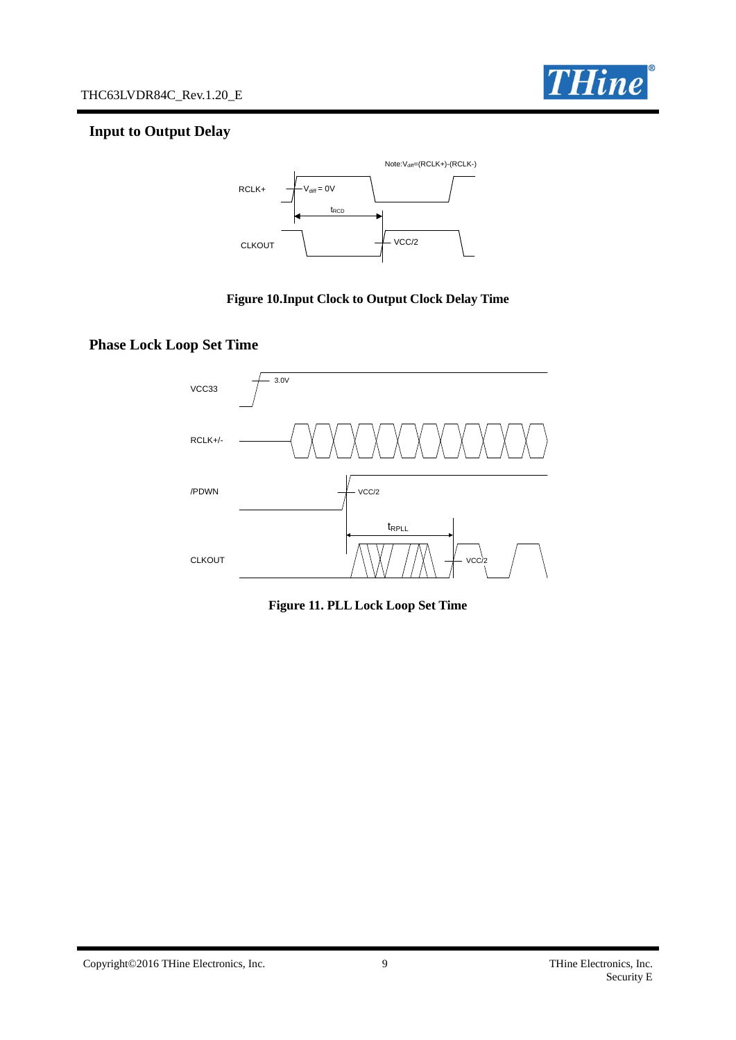

# **Input to Output Delay**



#### **Figure 10.Input Clock to Output Clock Delay Time**

# **Phase Lock Loop Set Time**



**Figure 11. PLL Lock Loop Set Time**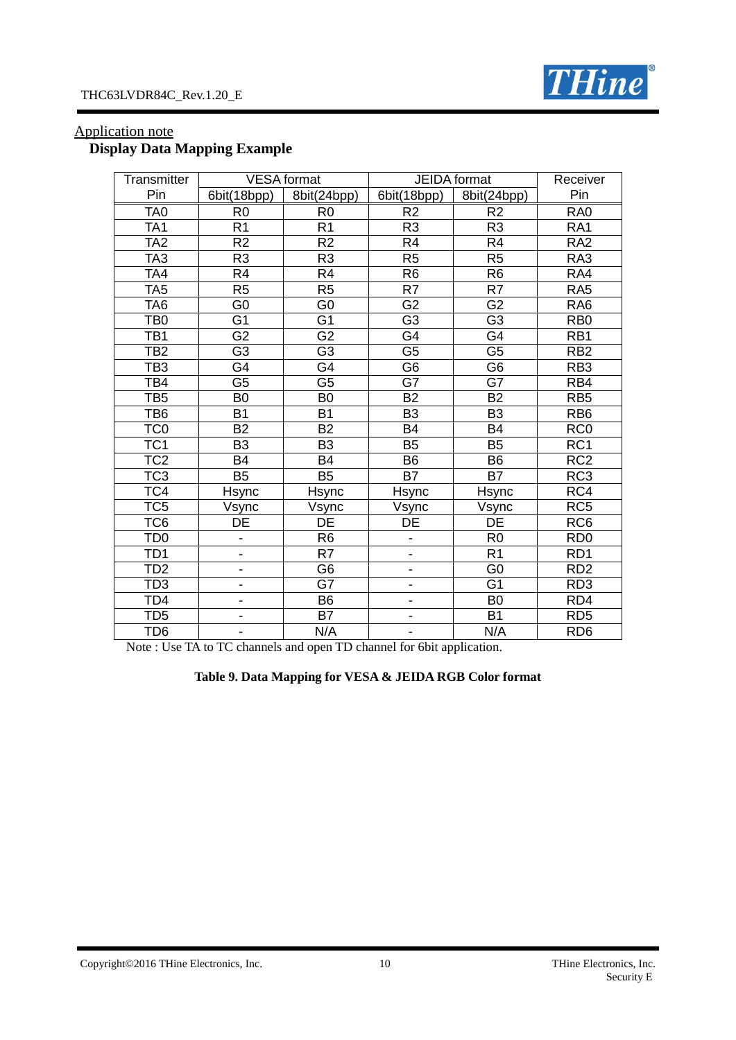

| Transmitter     |                              | <b>VESA</b> format | <b>JEIDA</b> format      | Receiver        |                  |
|-----------------|------------------------------|--------------------|--------------------------|-----------------|------------------|
| Pin             | 6bit(18bpp)                  | 8bit(24bpp)        | 6bit(18bpp)              | 8bit(24bpp)     | Pin              |
| TA <sub>0</sub> | R <sub>0</sub>               | R <sub>0</sub>     | R <sub>2</sub>           | R <sub>2</sub>  | RA <sub>0</sub>  |
| TA <sub>1</sub> | R <sub>1</sub>               | R <sub>1</sub>     | R <sub>3</sub>           | R <sub>3</sub>  | RA <sub>1</sub>  |
| TA <sub>2</sub> | R <sub>2</sub>               | R <sub>2</sub>     | R4                       | R <sub>4</sub>  | RA <sub>2</sub>  |
| TA <sub>3</sub> | R <sub>3</sub>               | R <sub>3</sub>     | R <sub>5</sub>           | R <sub>5</sub>  | RA3              |
| TA4             | R4                           | R <sub>4</sub>     | R <sub>6</sub>           | R <sub>6</sub>  | RA4              |
| TA <sub>5</sub> | $\overline{R5}$              | $\overline{R5}$    | $\overline{R7}$          | $\overline{R7}$ | RA <sub>5</sub>  |
| TA <sub>6</sub> | G <sub>0</sub>               | G <sub>0</sub>     | G <sub>2</sub>           | G <sub>2</sub>  | RA <sub>6</sub>  |
| TB <sub>0</sub> | $\overline{G1}$              | $\overline{G1}$    | $\overline{G3}$          | $\overline{G3}$ | R <sub>B</sub> 0 |
| TB <sub>1</sub> | G <sub>2</sub>               | G <sub>2</sub>     | G4                       | G4              | RB1              |
| TB <sub>2</sub> | $\overline{G3}$              | $\overline{G}3$    | $\overline{\mathsf{G5}}$ | $\overline{G5}$ | RB2              |
| TB <sub>3</sub> | G4                           | G <sub>4</sub>     | G <sub>6</sub>           | G <sub>6</sub>  | RB <sub>3</sub>  |
| TB4             | $\overline{\mathsf{G5}}$     | $\overline{G5}$    | $\overline{G7}$          | $\overline{G7}$ | RB4              |
| TB <sub>5</sub> | B <sub>0</sub>               | B <sub>0</sub>     | <b>B2</b>                | <b>B2</b>       | RB <sub>5</sub>  |
| TB <sub>6</sub> | B <sub>1</sub>               | <b>B1</b>          | B <sub>3</sub>           | B <sub>3</sub>  | RB <sub>6</sub>  |
| TC <sub>0</sub> | $\overline{B2}$              | $\overline{B2}$    | <b>B4</b>                | <b>B4</b>       | RC <sub>0</sub>  |
| TC <sub>1</sub> | B <sub>3</sub>               | B <sub>3</sub>     | <b>B5</b>                | B <sub>5</sub>  | RC <sub>1</sub>  |
| TC <sub>2</sub> | $\overline{B4}$              | $\overline{B4}$    | <b>B6</b>                | <b>B6</b>       | RC2              |
| TC <sub>3</sub> | <b>B5</b>                    | <b>B5</b>          | <b>B7</b>                | <b>B7</b>       | RC <sub>3</sub>  |
| TC4             | Hsync                        | <b>Hsync</b>       | <b>Hsync</b>             | Hsync           | RC4              |
| TC <sub>5</sub> | Vsync                        | Vsync              | Vsync                    | Vsync           | RC <sub>5</sub>  |
| TC <sub>6</sub> | DE                           | DE                 | DE                       | DE              | RC6              |
| TD <sub>0</sub> | $\qquad \qquad \blacksquare$ | R <sub>6</sub>     | -                        | R <sub>0</sub>  | RD <sub>0</sub>  |
| TD <sub>1</sub> | $\qquad \qquad \blacksquare$ | $\overline{R7}$    | $\blacksquare$           | R <sub>1</sub>  | RD <sub>1</sub>  |
| TD2             | $\blacksquare$               | G <sub>6</sub>     | $\overline{\phantom{0}}$ | G <sub>0</sub>  | RD <sub>2</sub>  |
| TD <sub>3</sub> | $\qquad \qquad \blacksquare$ | G7                 | -                        | G <sub>1</sub>  | RD <sub>3</sub>  |
| TD <sub>4</sub> | $\overline{\phantom{0}}$     | $\overline{B6}$    | $\overline{\phantom{0}}$ | $\overline{B}$  | RD4              |
| TD <sub>5</sub> | $\qquad \qquad \blacksquare$ | <b>B7</b>          | -                        | <b>B1</b>       | RD <sub>5</sub>  |
| TD <sub>6</sub> |                              | N/A                |                          | N/A             | RD <sub>6</sub>  |

# Application note **Display Data Mapping Example**

Note : Use TA to TC channels and open TD channel for 6bit application.

# **Table 9. Data Mapping for VESA & JEIDA RGB Color format**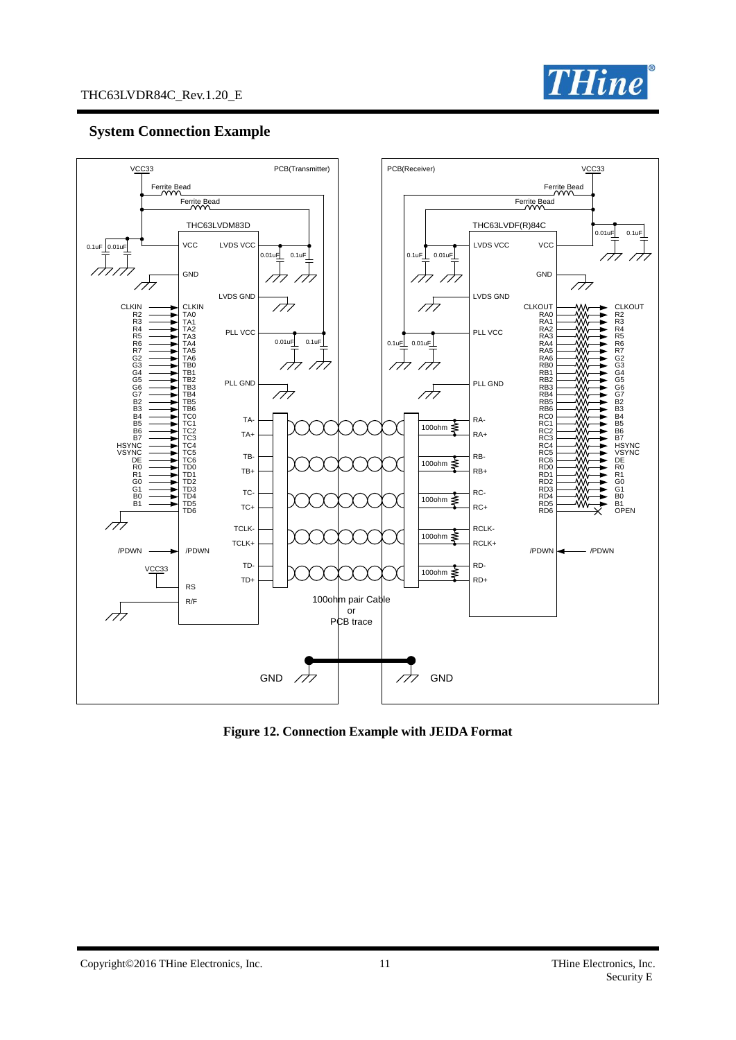

# **System Connection Example**



**Figure 12. Connection Example with JEIDA Format**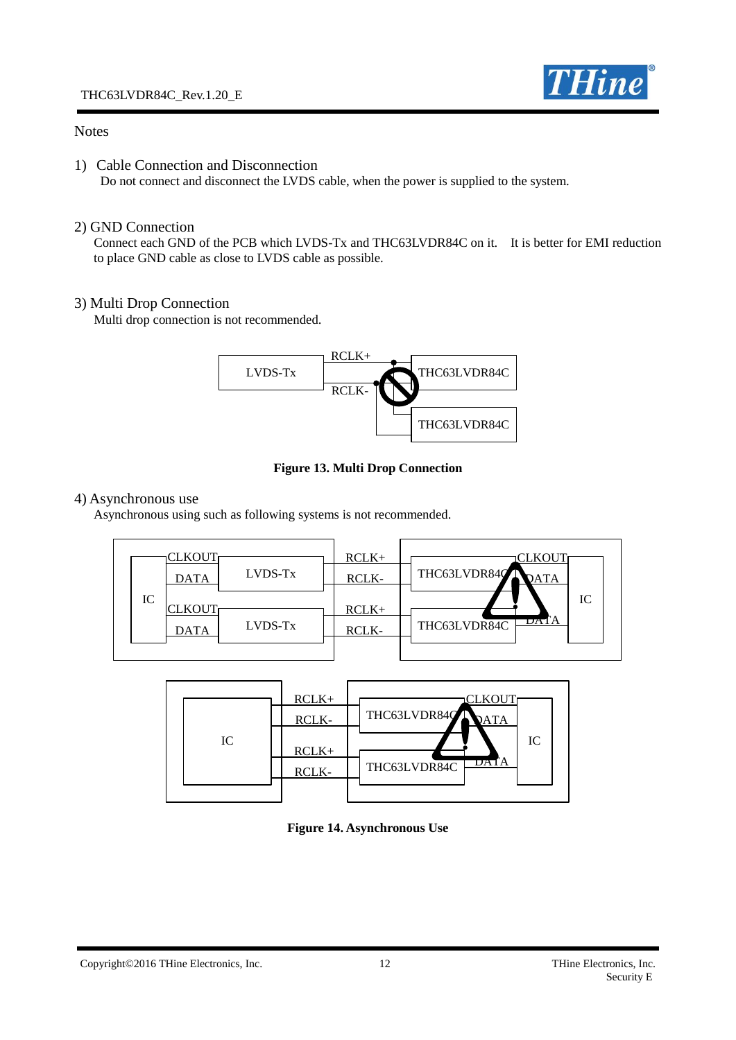

# **Notes**

1) Cable Connection and Disconnection

Do not connect and disconnect the LVDS cable, when the power is supplied to the system.

## 2) GND Connection

 Connect each GND of the PCB which LVDS-Tx and THC63LVDR84C on it. It is better for EMI reduction to place GND cable as close to LVDS cable as possible.

#### 3) Multi Drop Connection

Multi drop connection is not recommended.



**Figure 13. Multi Drop Connection**

#### 4) Asynchronous use

Asynchronous using such as following systems is not recommended.



|  |  | IC. | $RCLK+$<br>RCLK-<br>$RCLK+$<br>RCLK- | LKOI<br>THC63LVDR84Q<br>IC<br>DA I A<br>THC63LVDR84C |
|--|--|-----|--------------------------------------|------------------------------------------------------|
|--|--|-----|--------------------------------------|------------------------------------------------------|

**Figure 14. Asynchronous Use**

Copyright©2016 THine Electronics, Inc. 12 THine Electronics, Inc. 12 THine Electronics, Inc.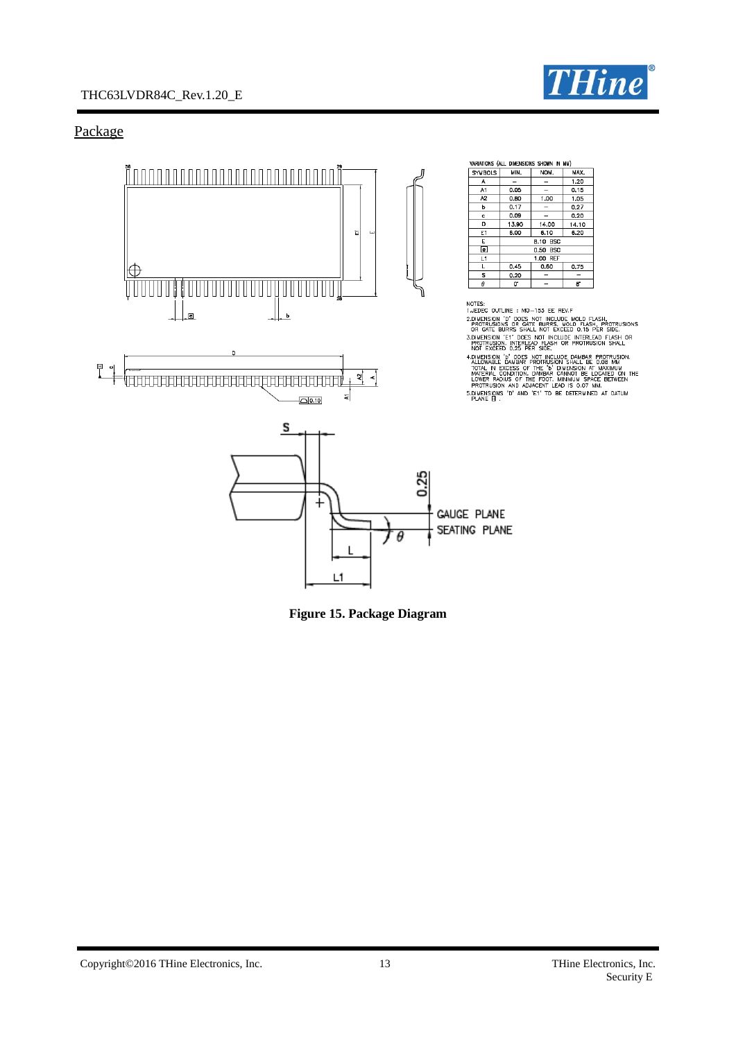

# THC63LVDR84C\_Rev.1.20\_E

# Package



**Figure 15. Package Diagram**

Copyright©2016 THine Electronics, Inc. 13 THine Electronics, Inc. 13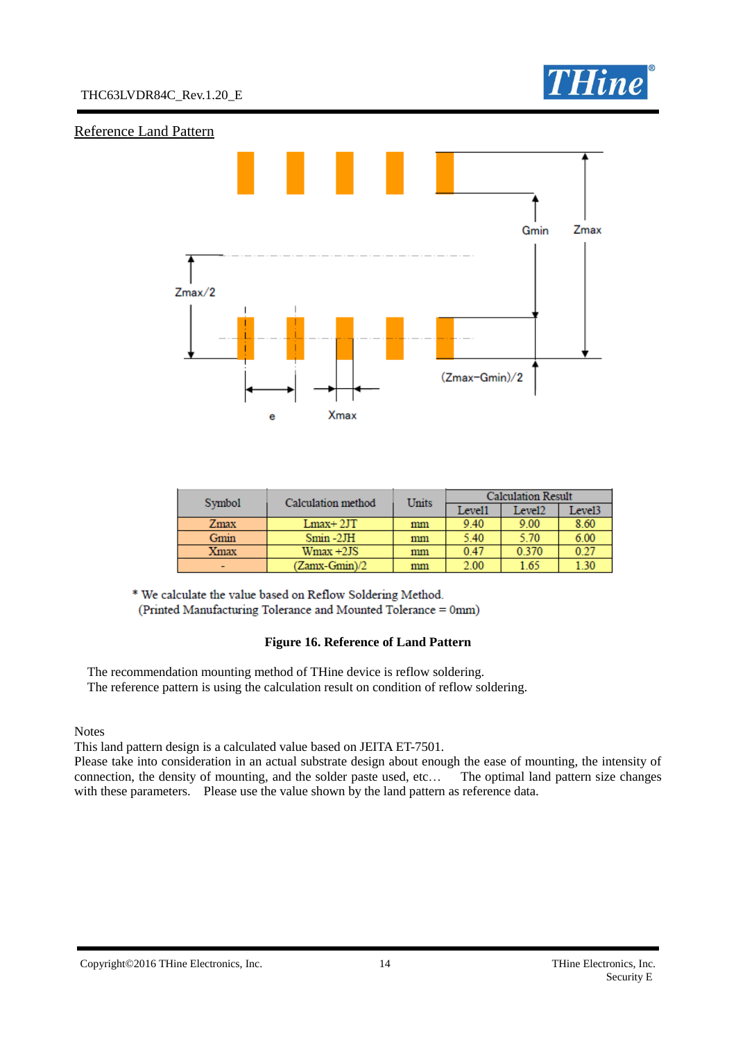

#### Reference Land Pattern



| Symbol | Calculation method | Units | <b>Calculation Result</b> |        |        |
|--------|--------------------|-------|---------------------------|--------|--------|
|        |                    |       | Level1                    | Level2 | Level3 |
| Zmax   | $Lmax+2JT$         | mm    | 9.40                      | 9.00   | 8.60   |
| Gmin   | $Smin -2JH$        | mm    | 5.40                      | 5.70   | 6.00   |
| Xmax   | $Wmax +2JS$        | mm    | 0.47                      | 0.370  | 0.27   |
|        | (Zamx-Gmin)/2      | mm    | 2.00                      | 1.65   | 1.30   |

\* We calculate the value based on Reflow Soldering Method. (Printed Manufacturing Tolerance and Mounted Tolerance = 0mm)

#### **Figure 16. Reference of Land Pattern**

The recommendation mounting method of THine device is reflow soldering. The reference pattern is using the calculation result on condition of reflow soldering.

**Notes** 

This land pattern design is a calculated value based on JEITA ET-7501.

Please take into consideration in an actual substrate design about enough the ease of mounting, the intensity of connection, the density of mounting, and the solder paste used, etc… The optimal land pattern size changes with these parameters. Please use the value shown by the land pattern as reference data.